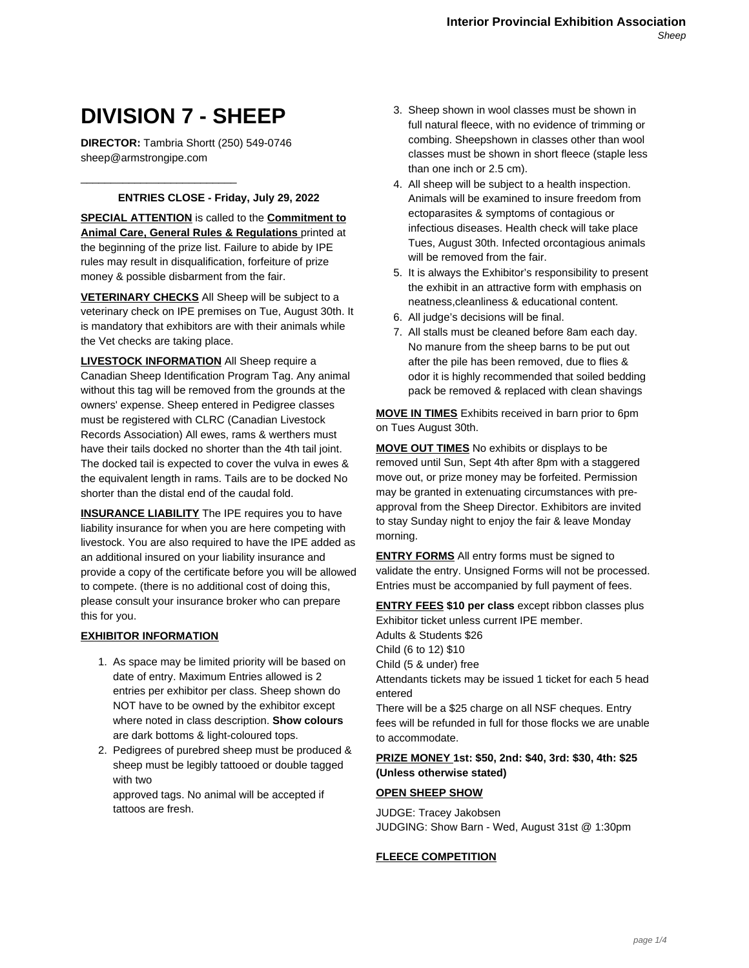# **DIVISION 7 - SHEEP**

**DIRECTOR:** Tambria Shortt (250) 549-0746 sheep@armstrongipe.com

\_\_\_\_\_\_\_\_\_\_\_\_\_\_\_\_\_\_\_\_\_\_\_\_\_\_

### **ENTRIES CLOSE - Friday, July 29, 2022**

**SPECIAL ATTENTION** is called to the **Commitment to Animal Care, General Rules & Regulations** printed at the beginning of the prize list. Failure to abide by IPE rules may result in disqualification, forfeiture of prize money & possible disbarment from the fair.

**VETERINARY CHECKS** All Sheep will be subject to a veterinary check on IPE premises on Tue, August 30th. It is mandatory that exhibitors are with their animals while the Vet checks are taking place.

**LIVESTOCK INFORMATION** All Sheep require a Canadian Sheep Identification Program Tag. Any animal without this tag will be removed from the grounds at the owners' expense. Sheep entered in Pedigree classes must be registered with CLRC (Canadian Livestock Records Association) All ewes, rams & werthers must have their tails docked no shorter than the 4th tail joint. The docked tail is expected to cover the vulva in ewes & the equivalent length in rams. Tails are to be docked No shorter than the distal end of the caudal fold.

**INSURANCE LIABILITY** The IPE requires you to have liability insurance for when you are here competing with livestock. You are also required to have the IPE added as an additional insured on your liability insurance and provide a copy of the certificate before you will be allowed to compete. (there is no additional cost of doing this, please consult your insurance broker who can prepare this for you.

## **EXHIBITOR INFORMATION**

- 1. As space may be limited priority will be based on date of entry. Maximum Entries allowed is 2 entries per exhibitor per class. Sheep shown do NOT have to be owned by the exhibitor except where noted in class description. **Show colours** are dark bottoms & light-coloured tops.
- 2. Pedigrees of purebred sheep must be produced & sheep must be legibly tattooed or double tagged with two approved tags. No animal will be accepted if

tattoos are fresh.

- 3. Sheep shown in wool classes must be shown in full natural fleece, with no evidence of trimming or combing. Sheepshown in classes other than wool classes must be shown in short fleece (staple less than one inch or 2.5 cm).
- 4. All sheep will be subject to a health inspection. Animals will be examined to insure freedom from ectoparasites & symptoms of contagious or infectious diseases. Health check will take place Tues, August 30th. Infected orcontagious animals will be removed from the fair.
- 5. It is always the Exhibitor's responsibility to present the exhibit in an attractive form with emphasis on neatness,cleanliness & educational content.
- 6. All judge's decisions will be final.
- 7. All stalls must be cleaned before 8am each day. No manure from the sheep barns to be put out after the pile has been removed, due to flies & odor it is highly recommended that soiled bedding pack be removed & replaced with clean shavings

**MOVE IN TIMES** Exhibits received in barn prior to 6pm on Tues August 30th.

**MOVE OUT TIMES** No exhibits or displays to be removed until Sun, Sept 4th after 8pm with a staggered move out, or prize money may be forfeited. Permission may be granted in extenuating circumstances with preapproval from the Sheep Director. Exhibitors are invited to stay Sunday night to enjoy the fair & leave Monday morning.

**ENTRY FORMS** All entry forms must be signed to validate the entry. Unsigned Forms will not be processed. Entries must be accompanied by full payment of fees.

**ENTRY FEES \$10 per class** except ribbon classes plus Exhibitor ticket unless current IPE member. Adults & Students \$26 Child (6 to 12) \$10 Child (5 & under) free Attendants tickets may be issued 1 ticket for each 5 head entered There will be a \$25 charge on all NSF cheques. Entry

fees will be refunded in full for those flocks we are unable to accommodate.

## **PRIZE MONEY 1st: \$50, 2nd: \$40, 3rd: \$30, 4th: \$25 (Unless otherwise stated)**

#### **OPEN SHEEP SHOW**

JUDGE: Tracey Jakobsen JUDGING: Show Barn - Wed, August 31st @ 1:30pm

#### **FLEECE COMPETITION**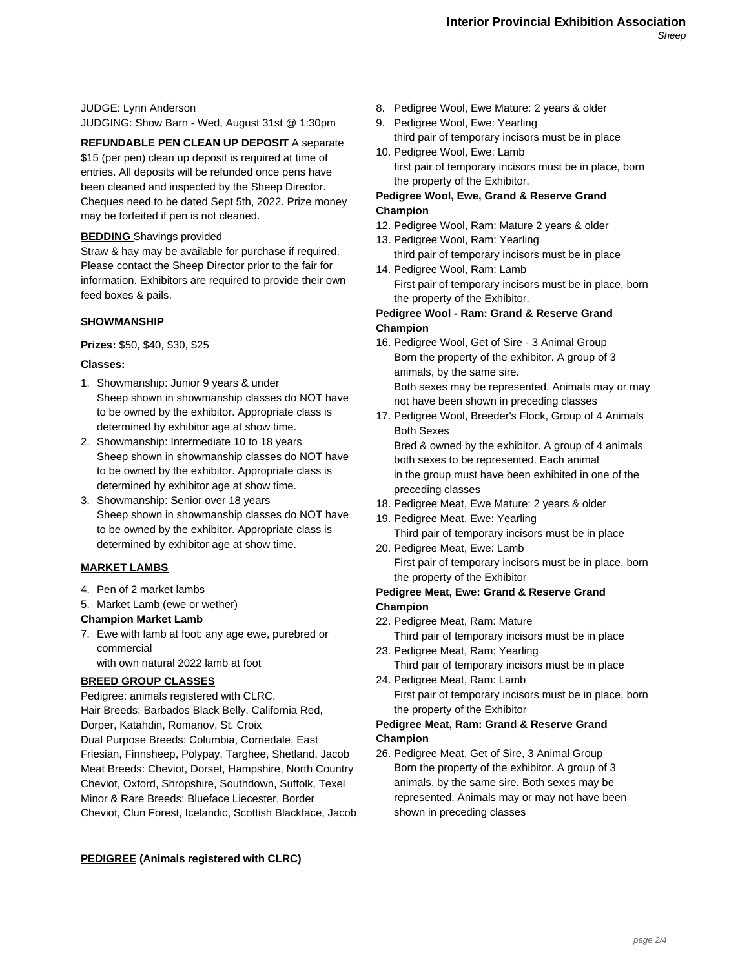JUDGE: Lynn Anderson JUDGING: Show Barn - Wed, August 31st @ 1:30pm

**REFUNDABLE PEN CLEAN UP DEPOSIT** A separate \$15 (per pen) clean up deposit is required at time of entries. All deposits will be refunded once pens have been cleaned and inspected by the Sheep Director. Cheques need to be dated Sept 5th, 2022. Prize money may be forfeited if pen is not cleaned.

#### **BEDDING** Shavings provided

Straw & hay may be available for purchase if required. Please contact the Sheep Director prior to the fair for information. Exhibitors are required to provide their own feed boxes & pails.

#### **SHOWMANSHIP**

**Prizes:** \$50, \$40, \$30, \$25

#### **Classes:**

- 1. Showmanship: Junior 9 years & under Sheep shown in showmanship classes do NOT have to be owned by the exhibitor. Appropriate class is determined by exhibitor age at show time.
- 2. Showmanship: Intermediate 10 to 18 years Sheep shown in showmanship classes do NOT have to be owned by the exhibitor. Appropriate class is determined by exhibitor age at show time.
- 3. Showmanship: Senior over 18 years Sheep shown in showmanship classes do NOT have to be owned by the exhibitor. Appropriate class is determined by exhibitor age at show time.

## **MARKET LAMBS**

- 4. Pen of 2 market lambs
- 5. Market Lamb (ewe or wether)

#### **Champion Market Lamb**

7. Ewe with lamb at foot: any age ewe, purebred or commercial

with own natural 2022 lamb at foot

#### **BREED GROUP CLASSES**

Pedigree: animals registered with CLRC. Hair Breeds: Barbados Black Belly, California Red, Dorper, Katahdin, Romanov, St. Croix Dual Purpose Breeds: Columbia, Corriedale, East Friesian, Finnsheep, Polypay, Targhee, Shetland, Jacob Meat Breeds: Cheviot, Dorset, Hampshire, North Country Cheviot, Oxford, Shropshire, Southdown, Suffolk, Texel Minor & Rare Breeds: Blueface Liecester, Border Cheviot, Clun Forest, Icelandic, Scottish Blackface, Jacob 8. Pedigree Wool, Ewe Mature: 2 years & older

- 9. Pedigree Wool, Ewe: Yearling third pair of temporary incisors must be in place
- 10. Pedigree Wool, Ewe: Lamb first pair of temporary incisors must be in place, born the property of the Exhibitor.

#### **Pedigree Wool, Ewe, Grand & Reserve Grand Champion**

- 12. Pedigree Wool, Ram: Mature 2 years & older
- 13. Pedigree Wool, Ram: Yearling third pair of temporary incisors must be in place
- 14. Pedigree Wool, Ram: Lamb First pair of temporary incisors must be in place, born the property of the Exhibitor.

#### **Pedigree Wool - Ram: Grand & Reserve Grand Champion**

- 16. Pedigree Wool, Get of Sire 3 Animal Group Born the property of the exhibitor. A group of 3 animals, by the same sire. Both sexes may be represented. Animals may or may not have been shown in preceding classes
- 17. Pedigree Wool, Breeder's Flock, Group of 4 Animals Both Sexes Bred & owned by the exhibitor. A group of 4 animals both sexes to be represented. Each animal

in the group must have been exhibited in one of the preceding classes

- 18. Pedigree Meat, Ewe Mature: 2 years & older
- 19. Pedigree Meat, Ewe: Yearling Third pair of temporary incisors must be in place
- 20. Pedigree Meat, Ewe: Lamb First pair of temporary incisors must be in place, born the property of the Exhibitor

## **Pedigree Meat, Ewe: Grand & Reserve Grand Champion**

- 22. Pedigree Meat, Ram: Mature
- Third pair of temporary incisors must be in place 23. Pedigree Meat, Ram: Yearling
- Third pair of temporary incisors must be in place 24. Pedigree Meat, Ram: Lamb
- First pair of temporary incisors must be in place, born the property of the Exhibitor

## **Pedigree Meat, Ram: Grand & Reserve Grand Champion**

26. Pedigree Meat, Get of Sire, 3 Animal Group Born the property of the exhibitor. A group of 3 animals. by the same sire. Both sexes may be represented. Animals may or may not have been shown in preceding classes

**PEDIGREE (Animals registered with CLRC)**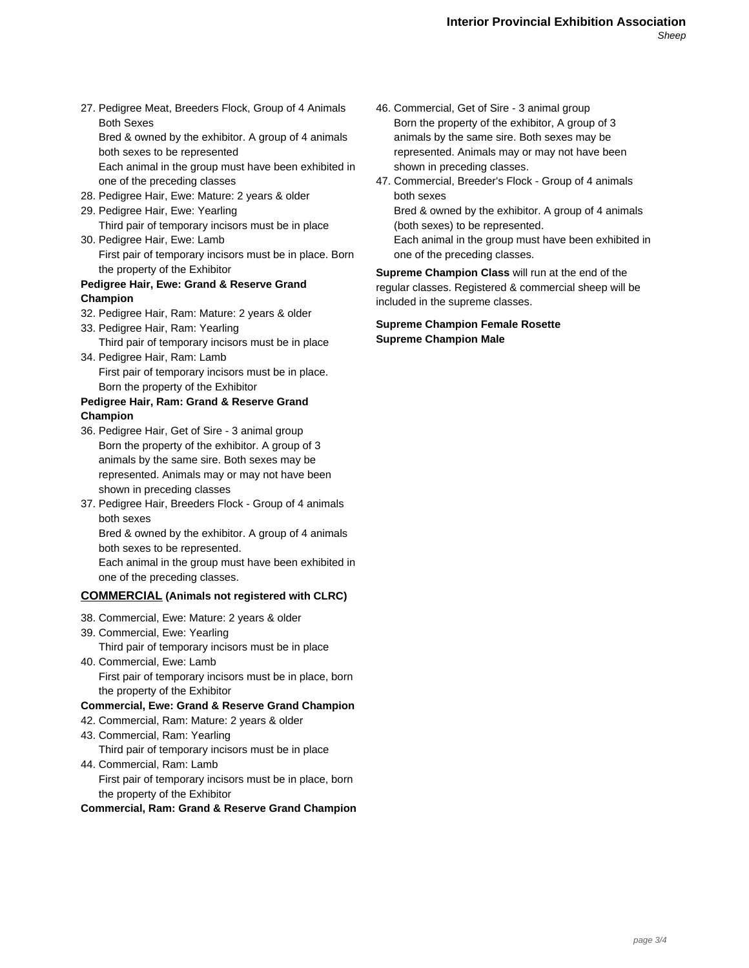27. Pedigree Meat, Breeders Flock, Group of 4 Animals Both Sexes Bred & owned by the exhibitor. A group of 4 animals

both sexes to be represented Each animal in the group must have been exhibited in one of the preceding classes

- 28. Pedigree Hair, Ewe: Mature: 2 years & older
- 29. Pedigree Hair, Ewe: Yearling Third pair of temporary incisors must be in place
- 30. Pedigree Hair, Ewe: Lamb First pair of temporary incisors must be in place. Born the property of the Exhibitor

#### **Pedigree Hair, Ewe: Grand & Reserve Grand Champion**

- 32. Pedigree Hair, Ram: Mature: 2 years & older
- 33. Pedigree Hair, Ram: Yearling Third pair of temporary incisors must be in place
- 34. Pedigree Hair, Ram: Lamb First pair of temporary incisors must be in place. Born the property of the Exhibitor

## **Pedigree Hair, Ram: Grand & Reserve Grand Champion**

- 36. Pedigree Hair, Get of Sire 3 animal group Born the property of the exhibitor. A group of 3 animals by the same sire. Both sexes may be represented. Animals may or may not have been shown in preceding classes
- 37. Pedigree Hair, Breeders Flock Group of 4 animals both sexes

Bred & owned by the exhibitor. A group of 4 animals both sexes to be represented.

Each animal in the group must have been exhibited in one of the preceding classes.

## **COMMERCIAL (Animals not registered with CLRC)**

- 38. Commercial, Ewe: Mature: 2 years & older
- 39. Commercial, Ewe: Yearling
	- Third pair of temporary incisors must be in place
- 40. Commercial, Ewe: Lamb First pair of temporary incisors must be in place, born the property of the Exhibitor

### **Commercial, Ewe: Grand & Reserve Grand Champion**

- 42. Commercial, Ram: Mature: 2 years & older
- 43. Commercial, Ram: Yearling Third pair of temporary incisors must be in place 44. Commercial, Ram: Lamb
- First pair of temporary incisors must be in place, born the property of the Exhibitor

**Commercial, Ram: Grand & Reserve Grand Champion**

- 46. Commercial, Get of Sire 3 animal group Born the property of the exhibitor, A group of 3 animals by the same sire. Both sexes may be represented. Animals may or may not have been shown in preceding classes.
- 47. Commercial, Breeder's Flock Group of 4 animals both sexes

Bred & owned by the exhibitor. A group of 4 animals (both sexes) to be represented.

Each animal in the group must have been exhibited in one of the preceding classes.

**Supreme Champion Class** will run at the end of the regular classes. Registered & commercial sheep will be included in the supreme classes.

**Supreme Champion Female Rosette Supreme Champion Male**